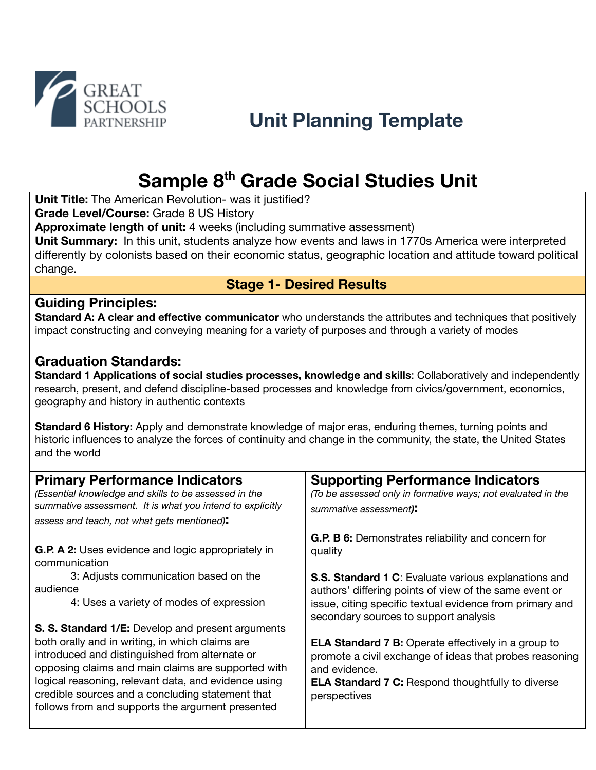

# **Sample 8 th Grade Social Studies Unit**

**Unit Title:** The American Revolution- was it justified?

**Grade Level/Course:** Grade 8 US History

**Approximate length of unit:** 4 weeks (including summative assessment)

**Unit Summary:** In this unit, students analyze how events and laws in 1770s America were interpreted differently by colonists based on their economic status, geographic location and attitude toward political change.

## **Stage 1- Desired Results**

## **Guiding Principles:**

**Standard A: A clear and effective communicator** who understands the attributes and techniques that positively impact constructing and conveying meaning for a variety of purposes and through a variety of modes

## **Graduation Standards:**

**Standard 1 Applications of social studies processes, knowledge and skills**: Collaboratively and independently research, present, and defend discipline-based processes and knowledge from civics/government, economics, geography and history in authentic contexts

**Standard 6 History:** Apply and demonstrate knowledge of major eras, enduring themes, turning points and historic influences to analyze the forces of continuity and change in the community, the state, the United States and the world

| <b>Primary Performance Indicators</b><br>(Essential knowledge and skills to be assessed in the<br>summative assessment. It is what you intend to explicitly<br>assess and teach, not what gets mentioned):                                                                                                                                                                   | <b>Supporting Performance Indicators</b><br>(To be assessed only in formative ways; not evaluated in the<br>summative assessment):                                                                                         |
|------------------------------------------------------------------------------------------------------------------------------------------------------------------------------------------------------------------------------------------------------------------------------------------------------------------------------------------------------------------------------|----------------------------------------------------------------------------------------------------------------------------------------------------------------------------------------------------------------------------|
| <b>G.P. A 2:</b> Uses evidence and logic appropriately in<br>communication<br>3: Adjusts communication based on the                                                                                                                                                                                                                                                          | <b>G.P. B 6:</b> Demonstrates reliability and concern for<br>quality                                                                                                                                                       |
| audience<br>4: Uses a variety of modes of expression                                                                                                                                                                                                                                                                                                                         | <b>S.S. Standard 1 C:</b> Evaluate various explanations and<br>authors' differing points of view of the same event or<br>issue, citing specific textual evidence from primary and<br>secondary sources to support analysis |
| S. S. Standard 1/E: Develop and present arguments<br>both orally and in writing, in which claims are<br>introduced and distinguished from alternate or<br>opposing claims and main claims are supported with<br>logical reasoning, relevant data, and evidence using<br>credible sources and a concluding statement that<br>follows from and supports the argument presented | <b>ELA Standard 7 B:</b> Operate effectively in a group to<br>promote a civil exchange of ideas that probes reasoning<br>and evidence.<br><b>ELA Standard 7 C:</b> Respond thoughtfully to diverse<br>perspectives         |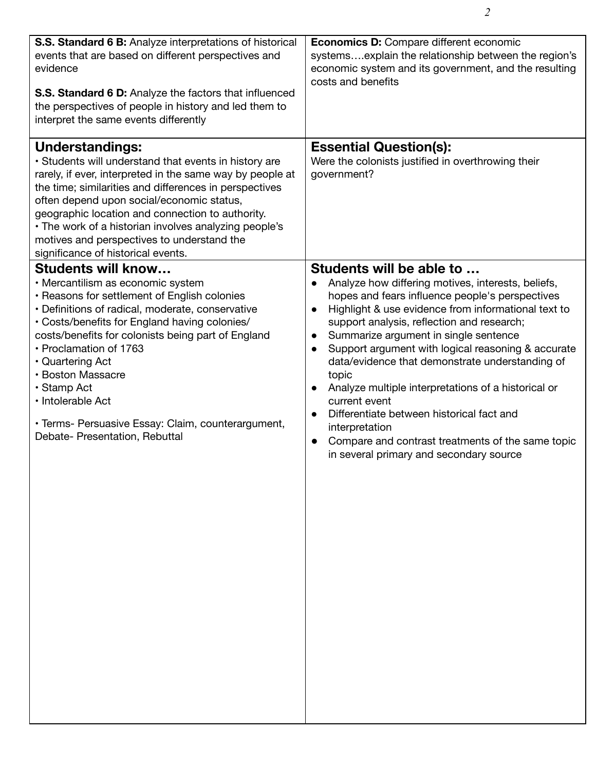| S.S. Standard 6 B: Analyze interpretations of historical<br>events that are based on different perspectives and<br>evidence<br><b>S.S. Standard 6 D:</b> Analyze the factors that influenced<br>the perspectives of people in history and led them to<br>interpret the same events differently                                                                                                                                                                           | <b>Economics D:</b> Compare different economic<br>systems explain the relationship between the region's<br>economic system and its government, and the resulting<br>costs and benefits                                                                                                                                                                                                                                                                                                                                                                                                                                                                                                                    |
|--------------------------------------------------------------------------------------------------------------------------------------------------------------------------------------------------------------------------------------------------------------------------------------------------------------------------------------------------------------------------------------------------------------------------------------------------------------------------|-----------------------------------------------------------------------------------------------------------------------------------------------------------------------------------------------------------------------------------------------------------------------------------------------------------------------------------------------------------------------------------------------------------------------------------------------------------------------------------------------------------------------------------------------------------------------------------------------------------------------------------------------------------------------------------------------------------|
| <b>Understandings:</b><br>· Students will understand that events in history are<br>rarely, if ever, interpreted in the same way by people at<br>the time; similarities and differences in perspectives<br>often depend upon social/economic status,<br>geographic location and connection to authority.<br>• The work of a historian involves analyzing people's<br>motives and perspectives to understand the<br>significance of historical events.                     | <b>Essential Question(s):</b><br>Were the colonists justified in overthrowing their<br>government?                                                                                                                                                                                                                                                                                                                                                                                                                                                                                                                                                                                                        |
| <b>Students will know</b><br>• Mercantilism as economic system<br>• Reasons for settlement of English colonies<br>• Definitions of radical, moderate, conservative<br>• Costs/benefits for England having colonies/<br>costs/benefits for colonists being part of England<br>• Proclamation of 1763<br>• Quartering Act<br>• Boston Massacre<br>• Stamp Act<br>· Intolerable Act<br>• Terms- Persuasive Essay: Claim, counterargument,<br>Debate- Presentation, Rebuttal | Students will be able to<br>Analyze how differing motives, interests, beliefs,<br>hopes and fears influence people's perspectives<br>Highlight & use evidence from informational text to<br>$\bullet$<br>support analysis, reflection and research;<br>Summarize argument in single sentence<br>$\bullet$<br>Support argument with logical reasoning & accurate<br>$\bullet$<br>data/evidence that demonstrate understanding of<br>topic<br>Analyze multiple interpretations of a historical or<br>$\bullet$<br>current event<br>Differentiate between historical fact and<br>interpretation<br>Compare and contrast treatments of the same topic<br>$\bullet$<br>in several primary and secondary source |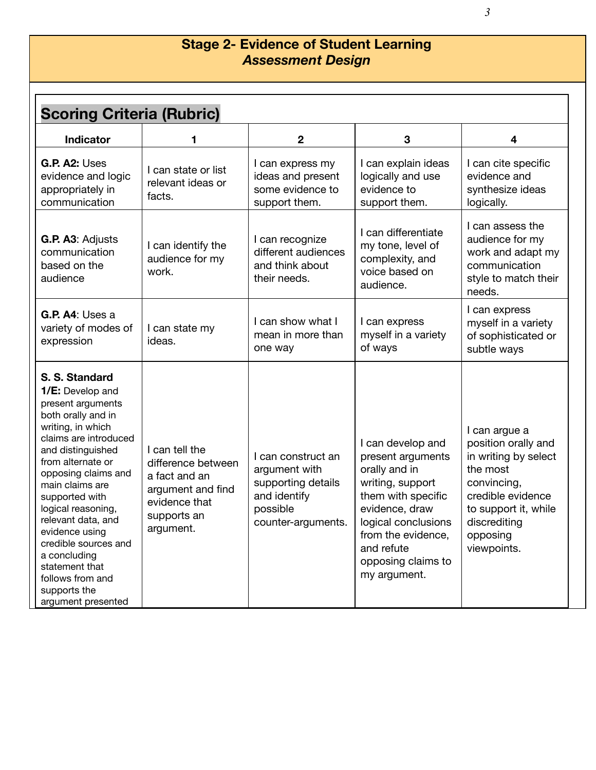## **Stage 2- Evidence of Student Learning** *Assessment Design*

| <b>Scoring Criteria (Rubric)</b>                                                                                                                                                                                                                                                                                                                                                                                    |                                                                                                                         |                                                                                                             |                                                                                                                                                                                                                      |                                                                                                                                                                                 |
|---------------------------------------------------------------------------------------------------------------------------------------------------------------------------------------------------------------------------------------------------------------------------------------------------------------------------------------------------------------------------------------------------------------------|-------------------------------------------------------------------------------------------------------------------------|-------------------------------------------------------------------------------------------------------------|----------------------------------------------------------------------------------------------------------------------------------------------------------------------------------------------------------------------|---------------------------------------------------------------------------------------------------------------------------------------------------------------------------------|
| <b>Indicator</b>                                                                                                                                                                                                                                                                                                                                                                                                    | 1                                                                                                                       | $\mathbf 2$                                                                                                 | 3                                                                                                                                                                                                                    | 4                                                                                                                                                                               |
| G.P. A2: Uses<br>evidence and logic<br>appropriately in<br>communication                                                                                                                                                                                                                                                                                                                                            | I can state or list<br>relevant ideas or<br>facts.                                                                      | I can express my<br>ideas and present<br>some evidence to<br>support them.                                  | I can explain ideas<br>logically and use<br>evidence to<br>support them.                                                                                                                                             | I can cite specific<br>evidence and<br>synthesize ideas<br>logically.                                                                                                           |
| G.P. A3: Adjusts<br>communication<br>based on the<br>audience                                                                                                                                                                                                                                                                                                                                                       | I can identify the<br>audience for my<br>work.                                                                          | I can recognize<br>different audiences<br>and think about<br>their needs.                                   | I can differentiate<br>my tone, level of<br>complexity, and<br>voice based on<br>audience.                                                                                                                           | I can assess the<br>audience for my<br>work and adapt my<br>communication<br>style to match their<br>needs.                                                                     |
| G.P. A4: Uses a<br>variety of modes of<br>expression                                                                                                                                                                                                                                                                                                                                                                | I can state my<br>ideas.                                                                                                | I can show what I<br>mean in more than<br>one way                                                           | I can express<br>myself in a variety<br>of ways                                                                                                                                                                      | I can express<br>myself in a variety<br>of sophisticated or<br>subtle ways                                                                                                      |
| S. S. Standard<br>1/E: Develop and<br>present arguments<br>both orally and in<br>writing, in which<br>claims are introduced<br>and distinguished<br>from alternate or<br>opposing claims and<br>main claims are<br>supported with<br>logical reasoning,<br>relevant data, and<br>evidence using<br>credible sources and<br>a concluding<br>statement that<br>follows from and<br>supports the<br>argument presented | I can tell the<br>difference between<br>a fact and an<br>argument and find<br>evidence that<br>supports an<br>argument. | I can construct an<br>argument with<br>supporting details<br>and identify<br>possible<br>counter-arguments. | I can develop and<br>present arguments<br>orally and in<br>writing, support<br>them with specific<br>evidence, draw<br>logical conclusions<br>from the evidence,<br>and refute<br>opposing claims to<br>my argument. | I can argue a<br>position orally and<br>in writing by select<br>the most<br>convincing,<br>credible evidence<br>to support it, while<br>discrediting<br>opposing<br>viewpoints. |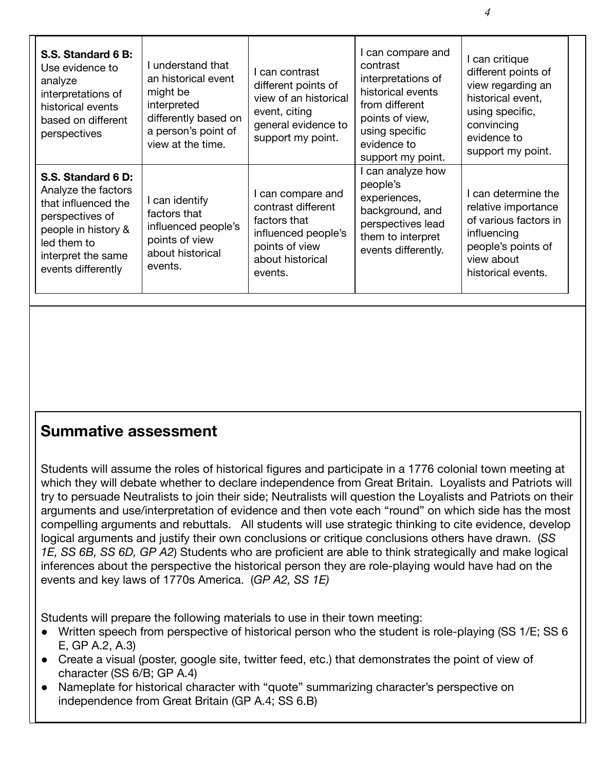| S.S. Standard 6 B:<br>Use evidence to<br>analyze<br>interpretations of<br>historical events<br>based on different<br>perspectives                                     | I understand that<br>an historical event<br>might be<br>interpreted<br>differently based on<br>a person's point of<br>view at the time. | I can contrast<br>different points of<br>view of an historical<br>event, citing<br>general evidence to<br>support my point.     | I can compare and<br>contrast<br>interpretations of<br>historical events<br>from different<br>points of view,<br>using specific<br>evidence to<br>support my point. | I can critique<br>different points of<br>view regarding an<br>historical event,<br>using specific,<br>convincing<br>evidence to<br>support my point. |
|-----------------------------------------------------------------------------------------------------------------------------------------------------------------------|-----------------------------------------------------------------------------------------------------------------------------------------|---------------------------------------------------------------------------------------------------------------------------------|---------------------------------------------------------------------------------------------------------------------------------------------------------------------|------------------------------------------------------------------------------------------------------------------------------------------------------|
| S.S. Standard 6 D:<br>Analyze the factors<br>that influenced the<br>perspectives of<br>people in history &<br>led them to<br>interpret the same<br>events differently | I can identify<br>factors that<br>influenced people's<br>points of view<br>about historical<br>events.                                  | I can compare and<br>contrast different<br>factors that<br>influenced people's<br>points of view<br>about historical<br>events. | I can analyze how<br>people's<br>experiences,<br>background, and<br>perspectives lead<br>them to interpret<br>events differently.                                   | I can determine the<br>relative importance<br>of various factors in<br>influencing<br>people's points of<br>view about<br>historical events.         |

## **Summative assessment**

Students will assume the roles of historical figures and participate in a 1776 colonial town meeting at which they will debate whether to declare independence from Great Britain. Loyalists and Patriots will try to persuade Neutralists to join their side; Neutralists will question the Loyalists and Patriots on their arguments and use/interpretation of evidence and then vote each "round" on which side has the most compelling arguments and rebuttals. All students will use strategic thinking to cite evidence, develop logical arguments and justify their own conclusions or critique conclusions others have drawn. (*SS 1E, SS 6B, SS 6D, GP A2*) Students who are proficient are able to think strategically and make logical inferences about the perspective the historical person they are role-playing would have had on the events and key laws of 1770s America. (*GP A2, SS 1E)*

Students will prepare the following materials to use in their town meeting:

- Written speech from perspective of historical person who the student is role-playing (SS 1/E; SS 6 E, GP A.2, A.3)
- Create a visual (poster, google site, twitter feed, etc.) that demonstrates the point of view of character (SS 6/B; GP A.4)
- Nameplate for historical character with "quote" summarizing character's perspective on independence from Great Britain (GP A.4; SS 6.B)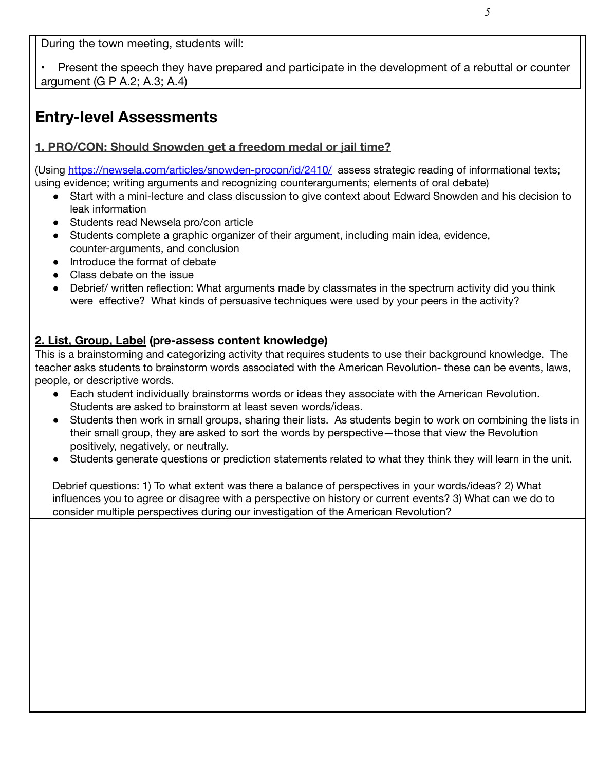During the town meeting, students will:

• Present the speech they have prepared and participate in the development of a rebuttal or counter argument (G P A.2; A.3; A.4)

## **Entry-level Assessments**

## **1. PRO/CON: Should Snowden get a freedom medal or jail time?**

(Using <https://newsela.com/articles/snowden-procon/id/2410/> assess strategic reading of informational texts; using evidence; writing arguments and recognizing counterarguments; elements of oral debate)

- Start with a mini-lecture and class discussion to give context about Edward Snowden and his decision to leak information
- Students read Newsela pro/con article
- Students complete a graphic organizer of their argument, including main idea, evidence, counter-arguments, and conclusion
- Introduce the format of debate
- Class debate on the issue
- Debrief/ written reflection: What arguments made by classmates in the spectrum activity did you think were effective? What kinds of persuasive techniques were used by your peers in the activity?

## **2. List, Group, Label (pre-assess content knowledge)**

This is a brainstorming and categorizing activity that requires students to use their background knowledge. The teacher asks students to brainstorm words associated with the American Revolution- these can be events, laws, people, or descriptive words.

- Each student individually brainstorms words or ideas they associate with the American Revolution. Students are asked to brainstorm at least seven words/ideas.
- Students then work in small groups, sharing their lists. As students begin to work on combining the lists in their small group, they are asked to sort the words by perspective—those that view the Revolution positively, negatively, or neutrally.
- Students generate questions or prediction statements related to what they think they will learn in the unit.

Debrief questions: 1) To what extent was there a balance of perspectives in your words/ideas? 2) What influences you to agree or disagree with a perspective on history or current events? 3) What can we do to consider multiple perspectives during our investigation of the American Revolution?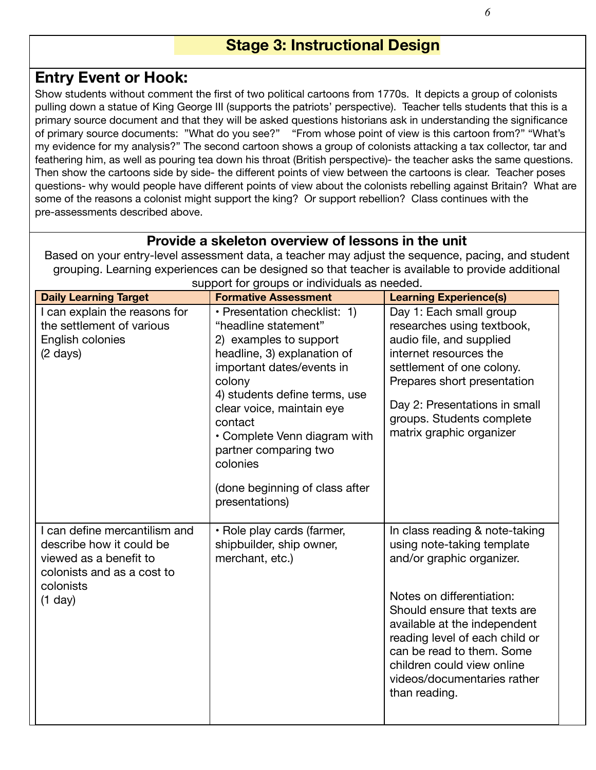## **Stage 3: Instructional Design**

## **Entry Event or Hook:**

Show students without comment the first of two political cartoons from 1770s. It depicts a group of colonists pulling down a statue of King George III (supports the patriots' perspective). Teacher tells students that this is a primary source document and that they will be asked questions historians ask in understanding the significance of primary source documents: "What do you see?" "From whose point of view is this cartoon from?" "What's my evidence for my analysis?" The second cartoon shows a group of colonists attacking a tax collector, tar and feathering him, as well as pouring tea down his throat (British perspective)- the teacher asks the same questions. Then show the cartoons side by side- the different points of view between the cartoons is clear. Teacher poses questions- why would people have different points of view about the colonists rebelling against Britain? What are some of the reasons a colonist might support the king? Or support rebellion? Class continues with the pre-assessments described above.

## **Provide a skeleton overview of lessons in the unit**

Based on your entry-level assessment data, a teacher may adjust the sequence, pacing, and student grouping. Learning experiences can be designed so that teacher is available to provide additional

| <b>Daily Learning Target</b>                         | <b>Formative Assessment</b>                                           | <b>Learning Experience(s)</b>                               |
|------------------------------------------------------|-----------------------------------------------------------------------|-------------------------------------------------------------|
| I can explain the reasons for                        | · Presentation checklist: 1)                                          | Day 1: Each small group                                     |
| the settlement of various                            | "headline statement"                                                  | researches using textbook,                                  |
| English colonies                                     | 2) examples to support                                                | audio file, and supplied                                    |
| $(2 \text{ days})$                                   | headline, 3) explanation of                                           | internet resources the                                      |
|                                                      | important dates/events in                                             | settlement of one colony.                                   |
|                                                      | colony                                                                | Prepares short presentation                                 |
|                                                      | 4) students define terms, use<br>clear voice, maintain eye<br>contact | Day 2: Presentations in small<br>groups. Students complete  |
|                                                      | • Complete Venn diagram with                                          | matrix graphic organizer                                    |
|                                                      | partner comparing two<br>colonies                                     |                                                             |
|                                                      | (done beginning of class after                                        |                                                             |
|                                                      | presentations)                                                        |                                                             |
| I can define mercantilism and                        | • Role play cards (farmer,                                            | In class reading & note-taking                              |
| describe how it could be                             | shipbuilder, ship owner,                                              | using note-taking template                                  |
| viewed as a benefit to<br>colonists and as a cost to | merchant, etc.)                                                       | and/or graphic organizer.                                   |
| colonists                                            |                                                                       |                                                             |
| $(1$ day)                                            |                                                                       | Notes on differentiation:                                   |
|                                                      |                                                                       | Should ensure that texts are                                |
|                                                      |                                                                       | available at the independent                                |
|                                                      |                                                                       | reading level of each child or<br>can be read to them. Some |
|                                                      |                                                                       | children could view online                                  |
|                                                      |                                                                       | videos/documentaries rather                                 |
|                                                      |                                                                       | than reading.                                               |
|                                                      |                                                                       |                                                             |

support for groups or individuals as needed.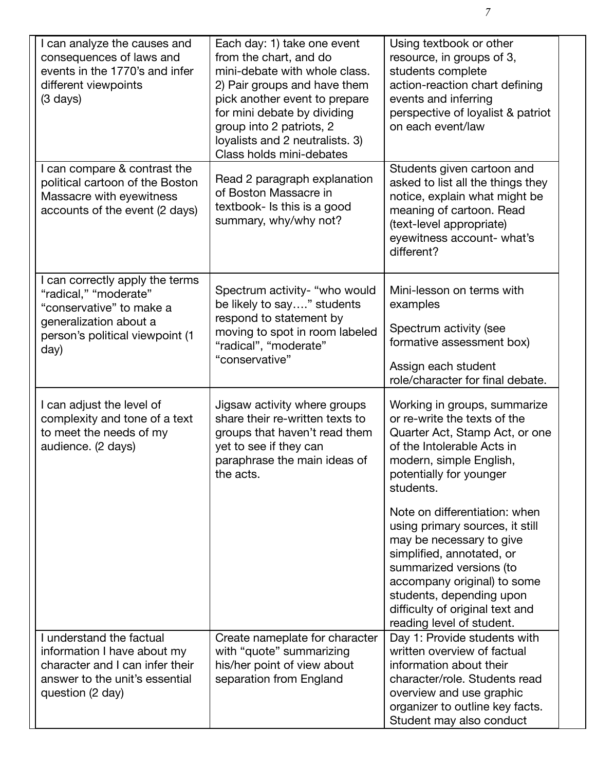| I can analyze the causes and<br>consequences of laws and<br>events in the 1770's and infer<br>different viewpoints<br>$(3 \text{ days})$                  | Each day: 1) take one event<br>from the chart, and do<br>mini-debate with whole class.<br>2) Pair groups and have them<br>pick another event to prepare<br>for mini debate by dividing<br>group into 2 patriots, 2<br>loyalists and 2 neutralists. 3)<br>Class holds mini-debates | Using textbook or other<br>resource, in groups of 3,<br>students complete<br>action-reaction chart defining<br>events and inferring<br>perspective of loyalist & patriot<br>on each event/law                                                                                   |
|-----------------------------------------------------------------------------------------------------------------------------------------------------------|-----------------------------------------------------------------------------------------------------------------------------------------------------------------------------------------------------------------------------------------------------------------------------------|---------------------------------------------------------------------------------------------------------------------------------------------------------------------------------------------------------------------------------------------------------------------------------|
| I can compare & contrast the<br>political cartoon of the Boston<br>Massacre with eyewitness<br>accounts of the event (2 days)                             | Read 2 paragraph explanation<br>of Boston Massacre in<br>textbook- Is this is a good<br>summary, why/why not?                                                                                                                                                                     | Students given cartoon and<br>asked to list all the things they<br>notice, explain what might be<br>meaning of cartoon. Read<br>(text-level appropriate)<br>eyewitness account- what's<br>different?                                                                            |
| I can correctly apply the terms<br>"radical," "moderate"<br>"conservative" to make a<br>generalization about a<br>person's political viewpoint (1<br>day) | Spectrum activity- "who would<br>be likely to say" students<br>respond to statement by<br>moving to spot in room labeled<br>"radical", "moderate"<br>"conservative"                                                                                                               | Mini-lesson on terms with<br>examples<br>Spectrum activity (see<br>formative assessment box)<br>Assign each student<br>role/character for final debate.                                                                                                                         |
| I can adjust the level of<br>complexity and tone of a text<br>to meet the needs of my<br>audience. (2 days)                                               | Jigsaw activity where groups<br>share their re-written texts to<br>groups that haven't read them<br>yet to see if they can<br>paraphrase the main ideas of<br>the acts.                                                                                                           | Working in groups, summarize<br>or re-write the texts of the<br>Quarter Act, Stamp Act, or one<br>of the Intolerable Acts in<br>modern, simple English,<br>potentially for younger<br>students.                                                                                 |
|                                                                                                                                                           |                                                                                                                                                                                                                                                                                   | Note on differentiation: when<br>using primary sources, it still<br>may be necessary to give<br>simplified, annotated, or<br>summarized versions (to<br>accompany original) to some<br>students, depending upon<br>difficulty of original text and<br>reading level of student. |
| I understand the factual<br>information I have about my<br>character and I can infer their<br>answer to the unit's essential<br>question (2 day)          | Create nameplate for character<br>with "quote" summarizing<br>his/her point of view about<br>separation from England                                                                                                                                                              | Day 1: Provide students with<br>written overview of factual<br>information about their<br>character/role. Students read<br>overview and use graphic<br>organizer to outline key facts.<br>Student may also conduct                                                              |

*7*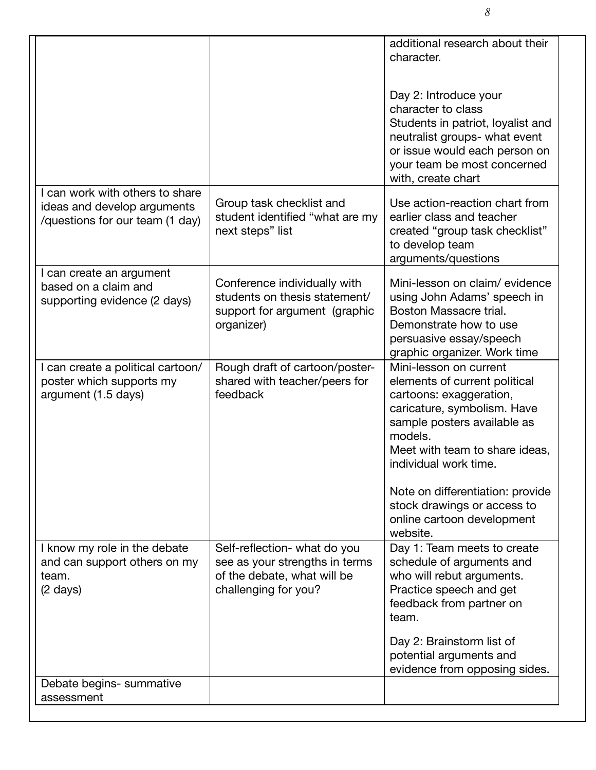|                                                                                                   |                                                                                                                       | additional research about their<br>character.<br>Day 2: Introduce your<br>character to class<br>Students in patriot, loyalist and<br>neutralist groups- what event<br>or issue would each person on<br>your team be most concerned |
|---------------------------------------------------------------------------------------------------|-----------------------------------------------------------------------------------------------------------------------|------------------------------------------------------------------------------------------------------------------------------------------------------------------------------------------------------------------------------------|
| I can work with others to share<br>ideas and develop arguments<br>/questions for our team (1 day) | Group task checklist and<br>student identified "what are my<br>next steps" list                                       | with, create chart<br>Use action-reaction chart from<br>earlier class and teacher<br>created "group task checklist"<br>to develop team<br>arguments/questions                                                                      |
| I can create an argument<br>based on a claim and<br>supporting evidence (2 days)                  | Conference individually with<br>students on thesis statement/<br>support for argument (graphic<br>organizer)          | Mini-lesson on claim/evidence<br>using John Adams' speech in<br>Boston Massacre trial.<br>Demonstrate how to use<br>persuasive essay/speech<br>graphic organizer. Work time                                                        |
| I can create a political cartoon/<br>poster which supports my<br>argument (1.5 days)              | Rough draft of cartoon/poster-<br>shared with teacher/peers for<br>feedback                                           | Mini-lesson on current<br>elements of current political<br>cartoons: exaggeration,<br>caricature, symbolism. Have<br>sample posters available as<br>models.<br>Meet with team to share ideas,<br>individual work time.             |
|                                                                                                   |                                                                                                                       | Note on differentiation: provide<br>stock drawings or access to<br>online cartoon development<br>website.                                                                                                                          |
| I know my role in the debate<br>and can support others on my<br>team.<br>$(2 \text{ days})$       | Self-reflection- what do you<br>see as your strengths in terms<br>of the debate, what will be<br>challenging for you? | Day 1: Team meets to create<br>schedule of arguments and<br>who will rebut arguments.<br>Practice speech and get<br>feedback from partner on<br>team.<br>Day 2: Brainstorm list of<br>potential arguments and                      |
| Debate begins- summative<br>assessment                                                            |                                                                                                                       | evidence from opposing sides.                                                                                                                                                                                                      |